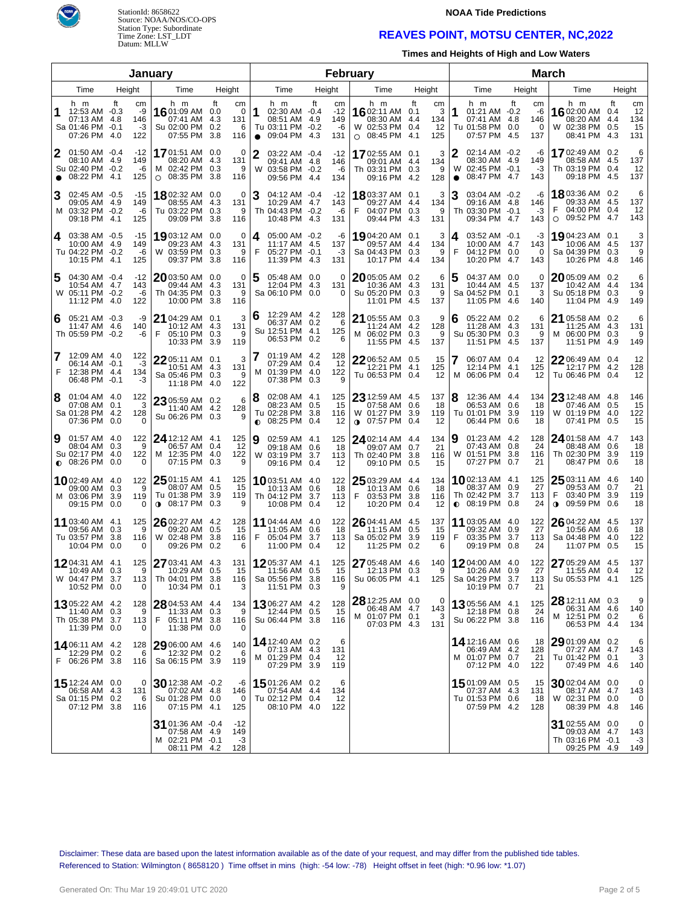

# StationId: 8658622 Source: NOAA/NOS/CO-OPS Station Type: Subordinate Time Zone: LST\_LDT Datum: MLLW

#### **NOAA Tide Predictions**

## **REAVES POINT, MOTSU CENTER, NC,2022**

**Times and Heights of High and Low Waters**

| January        |                                                                           |                    |                                |                                                                         |                                                    |           | February                                                                                   |        |                                 |                                                                     |                                                 |                     |                                                                                 | <b>March</b>             |               |                                                                            |                         |                              |
|----------------|---------------------------------------------------------------------------|--------------------|--------------------------------|-------------------------------------------------------------------------|----------------------------------------------------|-----------|--------------------------------------------------------------------------------------------|--------|---------------------------------|---------------------------------------------------------------------|-------------------------------------------------|---------------------|---------------------------------------------------------------------------------|--------------------------|---------------|----------------------------------------------------------------------------|-------------------------|------------------------------|
| Height<br>Time |                                                                           |                    |                                | Time                                                                    | Height                                             |           | Time                                                                                       | Height |                                 | Time                                                                | Height                                          |                     | Time                                                                            | Height                   |               | Time                                                                       |                         | Height                       |
|                | h m<br>12:53 AM -0.3<br>07:13 AM 4.8<br>Sa 01:46 PM -0.1<br>07:26 PM 4.0  | ft                 | cm<br>-9<br>146<br>$-3$<br>122 | h m<br>1601:09 AM<br>07:41 AM<br>Su 02:00 PM<br>07:55 PM                | ft<br>cm<br>0.0<br>4.3<br>131<br>0.2<br>3.8<br>116 | 0<br>6    | h m<br>1<br>02:30 AM -0.4<br>08:51 AM 4.9<br>Tu 03:11 PM -0.2<br>09:04 PM 4.3<br>$\bullet$ | ft     | cm<br>$-12$<br>149<br>-6<br>131 | h m<br>1602:11 AM<br>08:30 AM 4.4<br>W 02:53 PM 0.4<br>$O$ 08:45 PM | ft<br>cm<br>3<br>0.1<br>134<br>12<br>4.1<br>125 | 1                   | h m<br>01:21 AM -0.2<br>07:41 AM 4.8<br>Tu 01:58 PM 0.0<br>07:57 PM 4.5         | ft<br>146<br>137         | сm<br>-6<br>0 | h m<br>16 02:00 AM<br>08:20 AM<br>W 02:38 PM<br>08:41 PM 4.3               | ft<br>0.4<br>4.4<br>0.5 | cm<br>12<br>134<br>15<br>131 |
| 2<br>$\bullet$ | $01:50$ AM $-0.4$<br>08:10 AM 4.9<br>Su 02:40 PM -0.2<br>08:22 PM 4.1     |                    | $-12$<br>149<br>-6<br>125      | <b>17</b> 01:51 AM<br>08:20 AM<br>M 02:42 PM<br>$\circ$ 08:35 PM        | 0.0<br>-4.3<br>131<br>0.3<br>3.8<br>116            | 0<br>9    | 2<br>03:22 AM -0.4<br>09:41 AM 4.8<br>03:58 PM -0.2<br>W<br>09:56 PM 4.4                   |        | -12<br>146<br>-6<br>134         | 1702:55 AM 0.1<br>09:01 AM<br>Th 03:31 PM<br>09:16 PM               | 3<br>134<br>4.4<br>0.3<br>9<br>4.2<br>128       | 2<br>W<br>$\bullet$ | 02:14 AM -0.2<br>08:30 AM 4.9<br>02:45 PM -0.1<br>08:47 PM 4.7                  | 149<br>143               | -6<br>$-3$    | 1702:49 AM 0.2<br>08:58 AM 4.5<br>Th 03:19 PM 0.4<br>09:18 PM 4.5          |                         | 6<br>137<br>12<br>137        |
| 3              | 02:45 AM -0.5<br>09:05 AM 4.9<br>M 03:32 PM -0.2<br>09:18 PM 4.1          |                    | -15<br>149<br>-6<br>125        | 1802:32 AM 0.0<br>08:55 AM<br>Tu 03:22 PM<br>09:09 PM                   | 4.3<br>131<br>- 9<br>0.3<br>3.8<br>116             | 0         | 3<br>04:12 AM -0.4<br>10:29 AM 4.7<br>Th 04:43 PM -0.2<br>10:48 PM 4.3                     |        | $-12$<br>143<br>-6<br>131       | 1803:37 AM 0.1<br>09:27 AM<br>04:07 PM<br>F<br>09:44 PM             | 3<br>134<br>4.4<br>0.3<br>9<br>4.3<br>131       | 3                   | 03:04 AM -0.2<br>09:16 AM 4.8<br>Th 03:30 PM -0.1<br>09:34 PM 4.7               | 146<br>143               | -6<br>-3      | 18 03:36 AM 0.2<br>09:33 AM 4.5<br>04:00 PM 0.4<br>09:52 PM 4.7<br>$\circ$ |                         | 6<br>137<br>12<br>143        |
| 4              | 03:38 AM -0.5<br>10:00 AM 4.9<br>Tu 04:22 PM -0.2<br>10:15 PM 4.1         |                    | -15<br>149<br>-6<br>125        | 1903:12 AM 0.0<br>09:23 AM<br>W 03:59 PM<br>09:37 PM                    | 4.3<br>131<br>0.3<br>3.8<br>116                    | 0<br>- 9  | 05:00 AM -0.2<br>4<br>11:17 AM 4.5<br>F<br>05:27 PM -0.1<br>11:39 PM 4.3                   |        | -6<br>137<br>-3<br>131          | 1904:20 AM 0.1<br>09:57 AM<br>Sa 04:43 PM<br>10:17 PM               | 3<br>134<br>4.4<br>0.3<br>9<br>134<br>4.4       | 4<br>F              | $03:52$ AM $-0.1$<br>10:00 AM 4.7<br>04:12 PM 0.0<br>10:20 PM 4.7               | 143<br>143               | -3<br>0       | 1904:23 AM 0.1<br>10:06 AM 4.5<br>Sa 04:39 PM<br>10:26 PM                  | 0.3<br>4.8              | 3<br>137<br>9<br>146         |
| 5              | 04:30 AM -0.4<br>10:54 AM<br>W 05:11 PM -0.2<br>11:12 PM 4.0              | -4.7               | $-12$<br>143<br>-6<br>122      | $2003:50$ AM 0.0<br>09:44 AM<br>Th 04:35 PM<br>10:00 PM                 | 4.3<br>131<br>0.3<br>3.8<br>116                    | 0<br>9    | 5<br>05:48 AM 0.0<br>12:04 PM 4.3<br>Sa 06:10 PM 0.0                                       |        | $\Omega$<br>131<br>0            | 2005:05 AM 0.2<br>10:36 AM<br>Su 05:20 PM<br>11:01 PM               | 6<br>4.3<br>131<br>0.3<br>9<br>-4.5<br>137      | 5                   | 04:37 AM 0.0<br>10:44 AM 4.5<br>Sa 04:52 PM 0.1<br>11:05 PM 4.6                 | 137<br>140               | 0<br>3        | 2005:09 AM 0.2<br>10:42 AM<br>Su 05:18 PM 0.3<br>11:04 PM 4.9              | 4.4                     | 6<br>134<br>9<br>149         |
| 6              | 05:21 AM -0.3<br>11:47 AM<br>Th 05:59 PM -0.2                             | -4.6               | -9<br>140<br>-6                | $2104:29$ AM 0.1<br>10:12 AM<br>F<br>05:10 PM<br>10:33 PM               | 4.3<br>131<br>0.3<br>3.9<br>119                    | 3<br>- 9  | 12:29 AM 4.2<br>6<br>06:37 AM 0.2<br>Su 12:51 PM 4.1<br>06:53 PM 0.2                       |        | 128<br>6<br>125<br>6            | 21 05:55 AM 0.3<br>11:24 AM<br>M 06:02 PM<br>11:55 PM 4.5           | 9<br>4.2<br>128<br>0.3<br>9<br>137              | 6                   | 05:22 AM 0.2<br>11:28 AM 4.3<br>Su 05:30 PM 0.3<br>11:51 PM 4.5                 | 131<br>137               | 6<br>9        | 21 05:58 AM 0.2<br>11:25 AM 4.3<br>M 06:00 PM<br>11:51 PM 4.9              | 0.3                     | 6<br>131<br>9<br>149         |
| 7<br>F         | 12:09 AM 4.0<br>$06:14$ AM $-0.1$<br>12:38 PM 4.4<br>06:48 PM -0.1        |                    | 122<br>$-3$<br>134<br>$-3$     | 22 05:11 AM 0.1<br>10:51 AM 4.3<br>Sa 05:46 PM 0.3<br>11:18 PM          | 131<br>122<br>-4.0                                 | 3<br>- 9  | 7<br>$01:19$ AM $4.2$<br>07:29 AM 0.4<br>01:39 PM 4.0<br>м<br>07:38 PM 0.3                 |        | 128<br>12<br>122<br>9           | $2206:52$ AM 0.5<br>12:21 PM<br>Tu 06:53 PM 0.4                     | 15<br>4.1<br>125<br>12                          |                     | 06:07 AM 0.4<br>12:14 PM 4.1<br>M 06:06 PM 0.4                                  | 125                      | 12<br>12      | $2206:49$ AM 0.4<br>12:17 PM 4.2<br>Tu 06:46 PM 0.4                        |                         | 12<br>128<br>12              |
| 8              | 01:04 AM 4.0<br>07:08 AM<br>Sa 01:28 PM 4.2<br>07:36 PM                   | 0.1<br>0.0         | 122<br>3<br>128<br>$\Omega$    | 23 05:59 AM 0.2<br>11:40 AM 4.2<br>Su 06:26 PM 0.3                      | 128                                                | 6<br>9    | 8<br>$02:08$ AM $4.1$<br>08:23 AM 0.5<br>Tu 02:28 PM 3.8<br>08:25 PM 0.4<br>$\bullet$      |        | 125<br>15<br>116<br>12          | 23 12:59 AM 4.5<br>07:58 AM<br>W 01:27 PM<br>$0$ 07:57 PM           | 137<br>0.6<br>18<br>3.9<br>119<br>0.4<br>12     | 8                   | 12:36 AM 4.4<br>06:53 AM 0.6<br>Tu 01:01 PM<br>06:44 PM                         | 134<br>3.9<br>119<br>0.6 | 18<br>18      | 23 12:48 AM 4.8<br>07:46 AM<br>W 01:19 PM<br>07:41 PM                      | 0.5<br>4.0<br>0.5       | 146<br>15<br>122<br>15       |
| 9              | 01:57 AM 4.0<br>08:04 AM<br>Su 02:17 PM<br>$\bullet$ 08:26 PM             | 0.3<br>-4.0<br>0.0 | 122<br>9<br>122<br>0           | <b>24</b> 12:12 AM 4.1<br>06:57 AM<br>M 12:35 PM<br>07:15 PM            | 125<br>12<br>0.4<br>-4.0<br>122<br>0.3             | 9         | 9<br>02:59 AM 4.1<br>09:18 AM 0.6<br>W 03:19 PM 3.7<br>09:16 PM 0.4                        |        | 125<br>18<br>113<br>-12         | $24$ 02:14 AM 4.4<br>09:07 AM<br>Th 02:40 PM<br>09:10 PM            | 134<br>21<br>0.7<br>3.8<br>116<br>0.5<br>15     | 19<br>W             | 01:23 AM 4.2<br>07:43 AM 0.8<br>01:51 PM<br>07:27 PM                            | 128<br>3.8<br>116<br>0.7 | 24<br>21      | 24 01:58 AM 4.7<br>08:48 AM<br>Th 02:30 PM<br>08:47 PM                     | 0.6<br>3.9<br>0.6       | 143<br>18<br>119<br>18       |
|                | 1002:49 AM 4.0<br>09:00 AM<br>M 03:06 PM<br>09:15 PM 0.0                  | 0.3<br>3.9         | 122<br>9<br>119<br>0           | $2501:15$ AM 4.1<br>08:07 AM<br>Tu 01:38 PM<br>08:17 PM<br>$\bullet$    | 125<br>15<br>0.5<br>3.9<br>119<br>0.3              | 9         | <b>10</b> 03:51 AM 4.0<br>10:13 AM 0.6<br>Th 04:12 PM 3.7<br>10:08 PM 0.4                  |        | 122<br>18<br>113<br>-12         | 25 03:29 AM 4.4<br>10:13 AM<br>03:53 PM<br>F<br>10:20 PM            | 134<br>0.6<br>18<br>3.8<br>116<br>12<br>0.4     |                     | <b>10</b> 02:13 AM 4.1<br>08:37 AM 0.9<br>Th 02:42 PM<br>$\bullet$ 08:19 PM 0.8 | 125<br>3.7<br>113        | 27<br>24      | $2503:11$ AM 4.6<br>09:53 AM<br>F<br>03:40 PM<br>09:59 PM<br>$\bullet$     | 0.7<br>3.9<br>0.6       | 140<br>21<br>119<br>18       |
|                | 11 03:40 AM 4.1<br>09:56 AM<br>Tu 03:57 PM<br>10:04 PM                    | 0.3<br>3.8<br>0.0  | 125<br>9<br>116<br>0           | 26 02:27 AM 4.2<br>09:20 AM<br>W 02:48 PM<br>09:26 PM                   | 128<br>0.5<br>15<br>3.8<br>116<br>0.2              | 6         | 11 04:44 AM 4.0<br>11:05 AM 0.6<br>F<br>05:04 PM 3.7<br>11:00 PM 0.4                       |        | 122<br>18<br>113<br>12          | 26 04:41 AM 4.5<br>11:15 AM<br>Sa 05:02 PM<br>11:25 PM              | 137<br>0.5<br>15<br>3.9<br>119<br>0.2<br>6      | F                   | <b>11</b> 03:05 AM 4.0<br>09:32 AM 0.9<br>03:35 PM 3.7<br>09:19 PM 0.8          | 122<br>113               | 27<br>24      | 26 04:22 AM 4.5<br>10:56 AM<br>Sa 04:48 PM<br>11:07 PM                     | 0.6<br>4.0<br>0.5       | 137<br>18<br>122<br>15       |
|                | 1204:31 AM 4.1<br>10:49 AM<br>W 04:47 PM 3.7<br>10:52 PM 0.0              | 0.3                | 125<br>9<br>113<br>0           | 27 03:41 AM 4.3<br>10:29 AM 0.5<br>Th 04:01 PM 3.8<br>10:34 PM 0.1      | 131<br>15<br>116                                   | 3         | 1205:37 AM 4.1<br>11:56 AM 0.5<br>Sa 05:56 PM 3.8<br>11:51 PM 0.3                          |        | 125<br>15<br>116<br>9           | 27 05:48 AM 4.6<br>12:13 PM 0.3<br>Su 06:05 PM 4.1                  | 140<br>9<br>125                                 |                     | 1204:00 AM 4.0<br>10:26 AM 0.9<br>Sa 04:29 PM 3.7<br>10:19 PM 0.7               | 122<br>113               | 27<br>21      | 27 05:29 AM 4.5<br>11:55 AM<br>Su 05:53 PM 4.1                             | 0.4                     | 137<br>12<br>125             |
|                | <b>13</b> 05:22 AM 4.2<br>11:40 AM 0.3<br>Th 05:38 PM 3.7<br>11:39 PM 0.0 |                    | 128  <br>9<br>113<br>0         | 28 04:53 AM 4.4<br>11:33 AM 0.3<br>F 05:11 PM 3.8<br>11:38 PM 0.0       | 134<br>116                                         | - 9<br>0  | $1306:27$ AM 4.2<br>12:44 PM 0.5<br>Su 06:44 PM 3.8                                        |        | 128<br>15<br>116                | 28 12:25 AM 0.0<br>06:48 AM 4.7<br>M 01:07 PM 0.1<br>07:03 PM 4.3   | 0<br>143<br>3<br>131                            |                     | 1305:56 AM 4.1<br>12:18 PM 0.8<br>Su 06:22 PM 3.8                               | 125<br>116               | 24            | $28$ 12:11 AM 0.3<br>06:31 AM 4.6<br>M 12:51 PM 0.2<br>06:53 PM 4.4        |                         | 9<br>140<br>6<br>134         |
|                | <b>14</b> 06:11 AM 4.2<br>12:29 PM 0.2<br>F 06:26 PM 3.8                  |                    | 128<br>-6<br>116               | 29 06:00 AM 4.6<br>12:32 PM 0.2<br>Sa 06:15 PM 3.9                      | 140<br>119                                         | - 6       | 14 12:40 AM 0.2<br>07:13 AM 4.3<br>M 01:29 PM 0.4<br>07:29 PM 3.9                          |        | 6<br>131<br>-12<br>119          |                                                                     |                                                 |                     | 14 12:16 AM 0.6<br>06:49 AM 4.2<br>M 01:07 PM 0.7<br>07:12 PM 4.0               | 128<br>122               | 18<br>21      | 29 01:09 AM 0.2<br>07:27 AM 4.7<br>Tu 01:42 PM 0.1<br>07:49 PM 4.6         |                         | 6<br>143<br>3<br>140         |
|                | <b>15</b> 12:24 AM 0.0<br>06:58 AM 4.3<br>Sa 01:15 PM 0.2<br>07:12 PM 3.8 |                    | 0<br>131<br>-6<br>116          | $30$ 12:38 AM $-0.2$<br>07:02 AM 4.8<br>Su 01:28 PM 0.0<br>07:15 PM 4.1 | 146<br>125                                         | -6<br>- 0 | 15 01:26 AM 0.2<br>07:54 AM 4.4<br>Tu 02:12 PM 0.4<br>08:10 PM 4.0                         |        | 6<br>134<br>-12<br>122          |                                                                     |                                                 |                     | 1501:09 AM 0.5<br>07:37 AM 4.3<br>Tu 01:53 PM 0.6<br>07:59 PM 4.2               | 131<br>-18<br>128        | 15            | $30$ 02:04 AM 0.0<br>08:17 AM 4.7<br>W 02:31 PM 0.0<br>08:39 PM 4.8        |                         | 0<br>143<br>0<br>146         |
|                |                                                                           |                    |                                | 31 01:36 AM -0.4<br>07:58 AM 4.9<br>M 02:21 PM -0.1<br>08:11 PM 4.2     | $-12$<br>149<br>-3<br>128                          |           |                                                                                            |        |                                 |                                                                     |                                                 |                     |                                                                                 |                          |               | 31 02:55 AM 0.0<br>09:03 AM 4.7<br>Th 03:16 PM -0.1<br>09:25 PM 4.9        |                         | 0<br>143<br>-3<br>149        |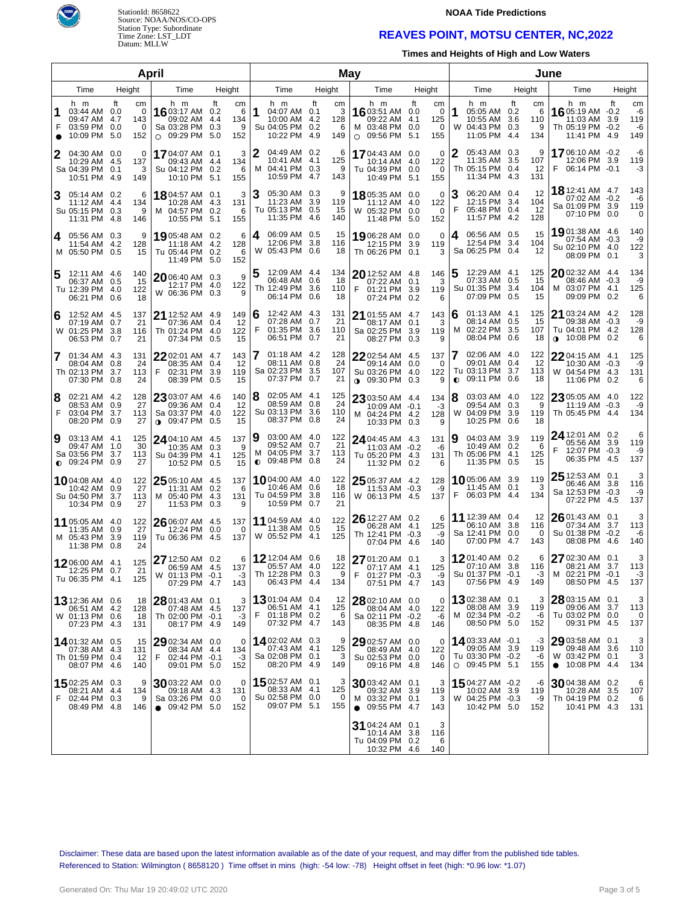



#### **NOAA Tide Predictions**

### **REAVES POINT, MOTSU CENTER, NC,2022**

**Times and Heights of High and Low Waters**

|                |                                                                           | April                                   | May                                                                         |                                                              |              |                                                                        |        |                             | June |                                                                              |                  |                                       |           |                                                                          |                   |                              |                                                                                  |            |                              |
|----------------|---------------------------------------------------------------------------|-----------------------------------------|-----------------------------------------------------------------------------|--------------------------------------------------------------|--------------|------------------------------------------------------------------------|--------|-----------------------------|------|------------------------------------------------------------------------------|------------------|---------------------------------------|-----------|--------------------------------------------------------------------------|-------------------|------------------------------|----------------------------------------------------------------------------------|------------|------------------------------|
| Time<br>Height |                                                                           |                                         | Time                                                                        | Height                                                       |              | Time                                                                   | Height |                             |      | Time                                                                         |                  | Height                                |           | Time                                                                     |                   | Height                       | Time                                                                             | Height     |                              |
| 1<br>F         | h m<br>03:44 AM 0.0<br>09:47 AM 4.7<br>03:59 PM 0.0<br>10:09 PM           | ft<br>cm<br>0<br>143<br>0<br>5.0<br>152 | h m<br><b>16</b> 03:17 AM<br>09:02 AM<br>Sa 03:28 PM<br>09:29 PM<br>$\circ$ | ft<br>cm<br>6<br>0.2<br>134<br>4.4<br>0.3<br>9<br>5.0<br>152 | 1            | h m<br>04:07 AM 0.1<br>10:00 AM 4.2<br>Su 04:05 PM 0.2<br>10:22 PM 4.9 | ft     | сm<br>3<br>128<br>6<br>149  |      | h m<br>16 03:51 AM 0.0<br>09:22 AM<br>M 03:48 PM 0.0<br>$\circ$ 09:56 PM     | ft<br>4.1<br>5.1 | cm<br>0<br>125<br>0<br>155            | 1         | h m<br>05:05 AM 0.2<br>10:55 AM<br>W 04:43 PM 0.3<br>11:05 PM            | ft<br>3.6<br>-4.4 | cm<br>6<br>110<br>9<br>134   | h m<br><b>16</b> 05:19 AM -0.2<br>11:03 AM<br>Th 05:19 PM -0.2<br>11:41 PM 4.9   | ft<br>3.9  | cm<br>-6<br>119<br>-6<br>149 |
| 2              | 04:30 AM 0.0<br>10:29 AM 4.5<br>Sa 04:39 PM 0.1<br>10:51 PM 4.9           | 0<br>137<br>3<br>149                    | 17 04:07 AM 0.1<br>09:43 AM 4.4<br>Su 04:12 PM<br>10:10 PM                  | 3<br>134<br>0.2<br>6<br>5.1<br>155                           | 2<br>м       | 04:49 AM 0.2<br>10:41 AM 4.1<br>04:41 PM 0.3<br>10:59 PM 4.7           |        | 6<br>125<br>9<br>143        |      | 17 04:43 AM 0.0<br>10:14 AM 4.0<br>Tu 04:39 PM 0.0<br>10:49 PM 5.1           |                  | $\mathbf 0$<br>122<br>$\Omega$<br>155 | 2         | 05:43 AM 0.3<br>11:35 AM<br>Th 05:15 PM 0.4<br>11:34 PM 4.3              | 3.5               | 9<br>107<br>12<br>131        | <b>17</b> 06:10 AM -0.2<br>12:06 PM 3.9<br>06:14 PM -0.1<br>F                    |            | -6<br>119<br>-3              |
| 3              | 05:14 AM 0.2<br>11:12 AM 4.4<br>Su 05:15 PM 0.3<br>11:31 PM 4.8           | 6<br>134<br>9<br>146                    | 18 04:57 AM 0.1<br>10:28 AM 4.3<br>M 04:57 PM<br>10:55 PM                   | 3<br>131<br>0.2<br>6<br>5.1<br>155                           | З            | 05:30 AM 0.3<br>11:23 AM 3.9<br>Tu 05:13 PM 0.5<br>11:35 PM 4.6        |        | 9<br>119<br>15<br>140       |      | 18 05:35 AM 0.0<br>11:12 AM<br>W 05:32 PM 0.0<br>11:48 PM 5.0                | 4.0              | 0<br>122<br>$\Omega$<br>152           | З<br>F    | 06:20 AM 0.4<br>12:15 PM 3.4<br>05:48 PM 0.4<br>11:57 PM 4.2             |                   | 12<br>104<br>12<br>128       | 18 12:41 AM 4.7<br>07:02 AM -0.2<br>Sa 01:09 PM 3.9<br>07:10 PM 0.0              |            | 143<br>-6<br>119<br>0        |
| 4              | 05:56 AM 0.3<br>11:54 AM 4.2<br>M 05:50 PM 0.5                            | 9<br>128<br>15                          | 19 05:48 AM 0.2<br>11:18 AM<br>Tu 05:44 PM<br>11:49 PM                      | 6<br>4.2<br>128<br>0.2<br>6<br>5.0<br>152                    | 4            | 06:09 AM 0.5<br>12:06 PM 3.8<br>W 05:43 PM 0.6                         |        | 15<br>116<br>18             |      | 19 06:28 AM 0.0<br>12:15 PM<br>Th 06:26 PM 0.1                               | 3.9              | 0<br>119<br>3                         | 4         | 06:56 AM 0.5<br>12:54 PM<br>Sa 06:25 PM 0.4                              | 3.4               | 15<br>104<br>12              | 1901:38 AM 4.6<br>07:54 AM -0.3<br>Su 02:10 PM 4.0<br>08:09 PM 0.1               |            | 140<br>-9<br>122<br>3        |
| 5              | 12:11 AM 4.6<br>06:37 AM 0.5<br>Tu 12:39 PM 4.0<br>06:21 PM 0.6           | 140<br>15<br>122<br>18                  | 20 06:40 AM 0.3<br>12:17 PM 4.0<br>W 06:36 PM 0.3                           | 9<br>122<br>9                                                | 5            | 12:09 AM 4.4<br>06:48 AM 0.6<br>Th 12:49 PM 3.6<br>06:14 PM 0.6        |        | 134<br>18<br>110<br>18      | F    | 20 12:52 AM<br>07:22 AM 0.1<br>01:21 PM 3.9<br>07:24 PM                      | 4.8<br>0.2       | 146<br>3<br>119<br>6                  | 5         | 12:29 AM 4.1<br>07:33 AM 0.5<br>Su 01:35 PM 3.4<br>07:09 PM              | 0.5               | 125<br>15<br>104<br>15       | 2002:32 AM 4.4<br>08:46 AM -0.3<br>M 03:07 PM 4.1<br>09:09 PM 0.2                |            | 134<br>-9<br>125<br>6        |
| 6              | 12:52 AM 4.5<br>07:19 AM 0.7<br>W 01:25 PM 3.8<br>06:53 PM 0.7            | 137<br>21<br>116<br>21                  | <b>21</b> 12:52 AM<br>07:36 AM<br>Th 01:24 PM<br>07:34 PM                   | 4.9<br>149<br>-12<br>0.4<br>122<br>4.0<br>15<br>0.5          | 6<br>F       | 12:42 AM 4.3<br>07:28 AM 0.7<br>01:35 PM 3.6<br>06:51 PM               | 0.7    | 131<br>21<br>110<br>21      |      | 21 01:55 AM 4.7<br>08:17 AM 0.1<br>Sa 02:25 PM<br>08:27 PM                   | 3.9<br>0.3       | 143<br>3<br>119<br>9                  | 6<br>м    | 01:13 AM 4.1<br>08:14 AM<br>02:22 PM 3.5<br>08:04 PM                     | 0.5<br>0.6        | 125<br>15<br>107<br>18       | 21 03:24 AM 4.2<br>09:38 AM -0.3<br>Tu 04:01 PM 4.2<br>10:08 PM 0.2<br>$\bullet$ |            | 128<br>-9<br>128<br>6        |
| 7              | 01:34 AM 4.3<br>08:04 AM 0.8<br>Th 02:13 PM 3.7<br>07:30 PM 0.8           | 131<br>24<br>113<br>24                  | $22$ 02:01 AM 4.7<br>08:35 AM<br>02:31 PM<br>F<br>08:39 PM                  | 143<br>0.4<br>-12<br>3.9<br>119<br>0.5<br>15                 | 7            | 01:18 AM 4.2<br>08:11 AM 0.8<br>Sa 02:23 PM 3.5<br>07:37 PM 0.7        |        | 128<br>24<br>107<br>21      |      | 2202:54 AM<br>09:14 AM<br>Su 03:26 PM 4.0<br><b>0</b> 09:30 PM 0.3           | 4.5<br>0.0       | 137<br>0<br>122<br>9                  | $\bullet$ | 02:06 AM 4.0<br>09:01 AM 0.4<br>Tu 03:13 PM 3.7<br>09:11 PM 0.6          |                   | 122<br>12<br>113<br>18       | 2204:15 AM 4.1<br>10:30 AM -0.3<br>W 04:54 PM 4.3<br>11:06 PM                    | 0.2        | 125<br>-9<br>131<br>6        |
| 8<br>F         | 02:21 AM 4.2<br>08:53 AM 0.9<br>03:04 PM 3.7<br>08:20 PM 0.9              | 128<br>27<br>113<br>27                  | $23$ 03:07 AM 4.6<br>09:36 AM<br>Sa 03:37 PM<br><b>↑</b> 09:47 PM           | 140<br>-12<br>0.4<br>122<br>4.0<br>15<br>0.5                 | 8            | $02:05$ AM $4.1$<br>08:59 AM 0.8<br>Su 03:13 PM 3.6<br>08:37 PM 0.8    |        | 125<br>24<br>110<br>24      |      | 23 03:50 AM 4.4<br>10:09 AM -0.1<br>M 04:24 PM 4.2<br>10:33 PM 0.3           |                  | 134<br>-3<br>128<br>9                 | 8<br>W    | 03:03 AM 4.0<br>09:54 AM 0.3<br>04:09 PM 3.9<br>10:25 PM 0.6             |                   | 122<br>9<br>119<br>18        | 23 05:05 AM 4.0<br>11:19 AM -0.3<br>Th 05:45 PM 4.4                              |            | 122<br>-9<br>134             |
| 9              | 03:13 AM 4.1<br>09:47 AM 1.0<br>Sa 03:56 PM 3.7<br>$\bullet$ 09:24 PM 0.9 | 125<br>30<br>113<br>27                  | <b>24</b> 04:10 AM 4.5<br>10:35 AM<br>Su 04:39 PM<br>10:52 PM 0.5           | 137<br>0.3<br>-9<br>125<br>4.1<br>15                         | 19<br>M<br>◐ | 03:00 AM 4.0<br>09:52 AM 0.7<br>04:05 PM 3.7<br>09:48 PM 0.8           |        | 122<br>21<br>113<br>24      |      | 24 04:45 AM 4.3<br>11:03 AM -0.2<br>Tu 05:20 PM 4.3<br>11:32 PM 0.2          |                  | 131<br>-6<br>131<br>6                 | 9         | 04:03 AM 3.9<br>10:49 AM 0.2<br>Th 05:06 PM 4.1<br>11:35 PM 0.5          |                   | 119<br>6<br>125<br>15        | 24 12:01 AM 0.2<br>05:56 AM 3.9<br>F<br>12:07 PM -0.3<br>06:35 PM 4.5            |            | 6<br>119<br>-9<br>137        |
|                | 1004:08 AM 4.0<br>10:42 AM 0.9<br>Su 04:50 PM 3.7<br>10:34 PM 0.9         | 122<br>27<br>113<br>27                  | $25$ 05:10 AM 4.5<br>11:31 AM<br>M 05:40 PM<br>11:53 PM 0.3                 | 137<br>0.2<br>6<br>131<br>4.3<br>9                           |              | <b>10</b> 04:00 AM 4.0<br>10:46 AM 0.6<br>Tu 04:59 PM 3.8<br>10:59 PM  | 0.7    | 122<br>18<br>116<br>21      |      | 25 05:37 AM 4.2<br>11:53 AM -0.3<br>W 06:13 PM 4.5                           |                  | 128<br>-9<br>137                      | F         | 1005:06 AM 3.9<br>11:45 AM 0.1<br>06:03 PM 4.4                           |                   | 119<br>3<br>134              | $25$ 12:53 AM 0.1<br>06:46 AM 3.8<br>Sa 12:53 PM -0.3<br>07:22 PM 4.5            |            | 3<br>116<br>-9<br>137        |
|                | 11 05:05 AM 4.0<br>11:35 AM 0.9<br>M 05:43 PM 3.9<br>11:38 PM 0.8         | 122<br>27<br>119<br>24                  | 26 06:07 AM 4.5<br>12:24 PM<br>Tu 06:36 PM                                  | 137<br>0.0<br>$\Omega$<br>137<br>4.5                         |              | 11 04:59 AM 4.0<br>11:38 AM 0.5<br>W 05:52 PM 4.1                      |        | 122<br>15<br>125            |      | 26 12:27 AM 0.2<br>06:28 AM 4.1<br>Th 12:41 PM -0.3<br>07:04 PM 4.6          |                  | 6<br>125<br>-9<br>140                 |           | 11 12:39 AM 0.4<br>06:10 AM 3.8<br>Sa 12:41 PM 0.0<br>07:00 PM 4.7       |                   | 12<br>116<br>$\Omega$<br>143 | 26 01:43 AM 0.1<br>07:34 AM<br>Su 01:38 PM -0.2<br>08:08 PM 4.6                  | 3.7        | 3<br>113<br>-6<br>140        |
|                | 1206:00 AM 4.1<br>12:25 PM 0.7<br>$1u$ 06:35 PM 4.1                       | 125<br>21<br>125                        | 27 12:50 AM 0.2<br>06:59 AM 4.5<br>W 01:13 PM -0.1<br>07:29 PM 4.7          | 6<br>137<br>-3<br>143                                        |              | 12 12:04 AM 0.6<br>05:57 AM 4.0<br>Th 12:28 PM 0.3<br>06:43 PM 4.4     |        | 18<br>122<br>9<br>134       | F    | 27 01:20 AM 0.1<br>07:17 AM 4.1<br>$01:27$ PM $-0.3$<br>07:51 PM 4.7         |                  | 3<br>125<br>-9<br>143                 |           | 1201:40 AM 0.2<br>07:10 AM 3.8<br>Su 01:37 PM -0.1<br>07:56 PM 4.9       |                   | 6<br>116<br>-3<br>149        | 27 02:30 AM 0.1<br>08:21 AM 3.7<br>M 02:21 PM -0.1<br>08:50 PM                   | 4.5        | 3<br>113<br>$-3$<br>137      |
|                | 13 12:36 AM 0.6<br>06:51 AM 4.2<br>W 01:13 PM 0.6<br>07:23 PM 4.3         | 18<br>128<br>18<br>131                  | 28 01:43 AM 0.1<br>07:48 AM<br>Th 02:00 PM<br>08:17 PM 4.9                  | 3<br>-4.5<br>137<br>-3<br>$-0.1$<br>149                      | F            | <b>13</b> 01:04 AM 0.4<br>06:51 AM 4.1<br>01:18 PM 0.2<br>07:32 PM 4.7 |        | 12<br>125<br>6<br>143       |      | 28 02:10 AM 0.0<br>08:04 AM 4.0<br>Sa 02:11 PM -0.2<br>08:35 PM 4.8          |                  | 0<br>122<br>-6<br>146                 |           | 1302:38 AM 0.1<br>08:08 AM 3.9<br>M 02:34 PM -0.2<br>08:50 PM 5.0        |                   | 3<br>119<br>-6<br>152        | $28$ 03:15 AM $\,$ 0.1 $\,$<br>09:06 AM 3.7<br>Tu 03:02 PM 0.0<br>09:31 PM 4.5   |            | 3<br>113<br>0<br>137         |
|                | 1401:32 AM 0.5<br>07:38 AM 4.3<br>Th 01:59 PM 0.4<br>08:07 PM 4.6         | 15<br>131<br>12<br>140                  | $29$ 02:34 AM 0.0<br>08:34 AM<br>F<br>02:44 PM<br>09:01 PM 5.0              | 0<br>4.4<br>134<br>-3<br>$-0.1$<br>152                       |              | 1402:02 AM 0.3<br>07:43 AM 4.1<br>Sa 02:08 PM 0.1<br>08:20 PM 4.9      |        | 9<br>125<br>3<br>149        |      | 29 02:57 AM 0.0<br>08:49 AM 4.0<br>Su 02:53 PM 0.0<br>09:16 PM 4.8           |                  | 0<br>122<br>0<br>146                  |           | 14 03:33 AM -0.1<br>09:05 AM 3.9<br>Tu 03:30 PM -0.2<br>$O$ 09:45 PM 5.1 |                   | -3<br>119<br>-6<br>155       | 29 03:58 AM 0.1<br>09:48 AM 3.6<br>W 03:42 PM 0.1<br>10:08 PM 4.4<br>$\bullet$   |            | 3<br>110<br>3<br>134         |
| F              | 1502:25 AM 0.3<br>08:21 AM 4.4<br>02:44 PM 0.3<br>08:49 PM 4.8            | 9<br>134<br>9<br>146                    | 3003:22 AM 0.0<br>09:18 AM<br>Sa 03:26 PM<br>$\bullet$ 09:42 PM 5.0         | 0<br>4.3<br>131<br>0.0<br>0<br>152                           |              | 1502:57 AM 0.1<br>08:33 AM 4.1<br>Su 02:58 PM 0.0<br>09:07 PM 5.1      |        | 3<br>125<br>$\Omega$<br>155 |      | $3003:42$ AM 0.1<br>09:32 AM 3.9<br>M 03:32 PM 0.1<br>$\bullet$ 09:55 PM 4.7 |                  | 3<br>119<br>3<br>143                  |           | 1504:27 AM -0.2<br>10:02 AM 3.9<br>W 04:25 PM -0.3<br>10:42 PM 5.0       |                   | -6<br>119<br>-9<br>152       | $3004:38$ AM<br>10:28 AM<br>Th 04:19 PM 0.2<br>10:41 PM 4.3                      | 0.2<br>3.5 | 6<br>107<br>6<br>131         |
|                |                                                                           |                                         |                                                                             |                                                              |              |                                                                        |        |                             |      | 31 04:24 AM 0.1<br>10:14 AM 3.8<br>Tu 04:09 PM 0.2<br>10:32 PM 4.6           |                  | 3<br>116<br>6<br>140                  |           |                                                                          |                   |                              |                                                                                  |            |                              |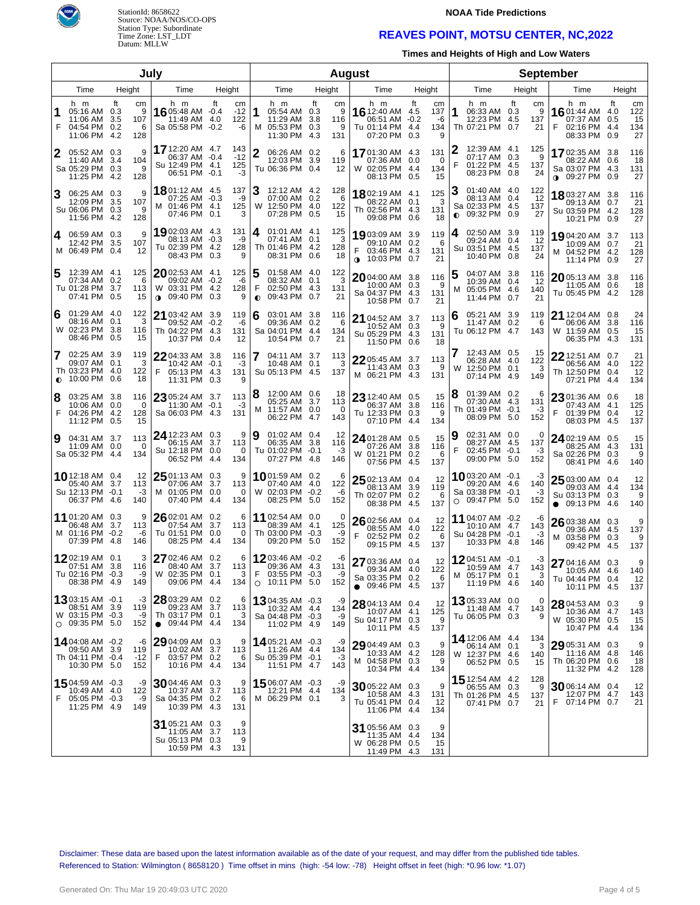



#### **NOAA Tide Predictions**

### **REAVES POINT, MOTSU CENTER, NC,2022**

**Times and Heights of High and Low Waters**

| July           |                                                                        |                           |              |                                                                                   |    |                           | <b>August</b>  |                                                                             |                  |                            |                                                                              |            | <b>September</b>            |           |                                                                                   |      |                        |                                                                                   |                         |                              |
|----------------|------------------------------------------------------------------------|---------------------------|--------------|-----------------------------------------------------------------------------------|----|---------------------------|----------------|-----------------------------------------------------------------------------|------------------|----------------------------|------------------------------------------------------------------------------|------------|-----------------------------|-----------|-----------------------------------------------------------------------------------|------|------------------------|-----------------------------------------------------------------------------------|-------------------------|------------------------------|
| Height<br>Time |                                                                        | Time                      | Height       |                                                                                   |    | Time                      | Height         |                                                                             | Time             | Height                     |                                                                              | Time       |                             | Height    |                                                                                   | Time |                        | Height                                                                            |                         |                              |
| F              | h m<br>05:16 AM 0.3<br>11:06 AM 3.5<br>04:54 PM 0.2<br>11:06 PM 4.2    | Ħ.<br>107<br>128          | cm<br>9<br>6 | h m<br><b>16</b> 05:48 AM $-0.4$<br>11:49 AM 4.0<br>Sa 05:58 PM -0.2              | ft | cm<br>$-12$<br>122<br>-6  | 1              | h m<br>05:54 AM 0.3<br>11:29 AM<br>M 05:53 PM 0.3<br>11:30 PM               | ft<br>3.8<br>4.3 | сm<br>9<br>116<br>9<br>131 | h m<br>16 12:40 AM 4.5<br>06:51 AM -0.2<br>Tu 01:14 PM 4.4<br>07:20 PM 0.3   | ft         | cm<br>137<br>-6<br>134<br>9 | 1         | h m<br>06:33 AM 0.3<br>12:23 PM 4.5<br>Th 07:21 PM 0.7                            | Ħ.   | сm<br>9<br>137<br>21   | h m<br><b>16</b> 01:44 AM<br>07:37 AM<br>02:16 PM<br>08:33 PM 0.9                 | ft<br>4.0<br>0.5<br>4.4 | cm<br>122<br>15<br>134<br>27 |
|                | 05:52 AM 0.3<br>11:40 AM 3.4<br>Sa 05:29 PM 0.3<br>11:25 PM 4.2        | 104<br>128                | 9<br>9       | 17 12:20 AM 4.7<br>06:37 AM -0.4<br>Su 12:49 PM 4.1<br>06:51 PM -0.1              |    | 143<br>$-12$<br>125<br>-3 | $\overline{2}$ | 06:26 AM 0.2<br>12:03 PM<br>Tu 06:36 PM 0.4                                 | 3.9              | 6<br>119<br>12             | 1701:30 AM 4.3<br>07:36 AM 0.0<br>W 02:05 PM 4.4<br>08:13 PM 0.5             |            | 131<br>0<br>134<br>15       | F         | 12:39 AM 4.1<br>07:17 AM 0.3<br>01:22 PM 4.5<br>08:23 PM 0.8                      |      | 125<br>9<br>137<br>24  | <b>17</b> 02:35 AM<br>08:22 AM 0.6<br>Sa 03:07 PM 4.3<br>$0.09:27 \text{ PM}$ 0.9 | 3.8                     | 116<br>18<br>131<br>27       |
| 3              | 06:25 AM 0.3<br>12:09 PM 3.5<br>Su 06:06 PM 0.3<br>11:56 PM 4.2        | 107<br>128                | 9<br>9       | <b>18</b> 01:12 AM 4.5<br>07:25 AM -0.3<br>M 01:46 PM 4.1<br>07:46 PM 0.1         |    | 137<br>-9<br>125<br>3     |                | 12:12 AM 4.2<br>07:00 AM 0.2<br>W 12:50 PM 4.0<br>07:28 PM 0.5              |                  | 128<br>6<br>122<br>15      | 18 02:19 AM 4.1<br>08:22 AM 0.1<br>Th 02:56 PM 4.3<br>09:08 PM 0.6           |            | 125<br>3<br>131<br>18       | $\bullet$ | 01:40 AM 4.0<br>08:13 AM 0.4<br>Sa 02:33 PM 4.5<br>09:32 PM 0.9                   |      | 122<br>12<br>137<br>27 | 18 03:27 AM 3.8<br>09:13 AM 0.7<br>Su 03:59 PM 4.2<br>10:21 PM 0.9                |                         | 116<br>21<br>128<br>27       |
| 4              | 06:59 AM 0.3<br>12:42 PM 3.5<br>M 06:49 PM 0.4                         | 107                       | 9<br>12      | 19 02:03 AM 4.3<br>08:13 AM -0.3<br>Tu 02:39 PM 4.2<br>08:43 PM 0.3               |    | 131<br>-9<br>128<br>9     | 4              | 01:01 AM 4.1<br>07:41 AM 0.1<br>Th 01:46 PM 4.2<br>08:31 PM 0.6             |                  | 125<br>3<br>128<br>18      | 1903:09 AM<br>09:10 AM 0.2<br>03:46 PM 4.3<br>$\bullet$ 10:03 PM 0.7         | 3.9        | 119<br>6<br>131<br>21       | 4         | 02:50 AM 3.9<br>09:24 AM 0.4<br>Su 03:51 PM 4.5<br>10:40 PM 0.8                   |      | 119<br>12<br>137<br>24 | 1904:20 AM 3.7<br>10:09 AM 0.7<br>M 04:52 PM 4.2<br>11:14 PM 0.9                  |                         | 113<br>21<br>128<br>27       |
|                | 12:39 AM 4.1<br>07:34 AM 0.2<br>Tu 01:28 PM<br>07:41 PM 0.5            | 125<br>-3.7<br>113        | 6<br>15      | $20$ 02:53 AM 4.1<br>09:02 AM -0.2<br>W 03:31 PM 4.2<br>09:40 PM 0.3<br>$\bullet$ |    | 125<br>-6<br>128<br>9     | F              | 01:58 AM 4.0<br>08:32 AM 0.1<br>02:50 PM 4.3<br>$\bullet$ 09:43 PM 0.7      |                  | 122<br>3<br>131<br>21      | 2004:00 AM 3.8<br>10:00 AM 0.3<br>Sa 04:37 PM 4.3<br>10:58 PM 0.7            |            | 116<br>9<br>131<br>21       | 5<br>м    | 04:07 AM 3.8<br>10:39 AM 0.4<br>05:05 PM 4.6<br>11:44 PM 0.7                      |      | 116<br>12<br>140<br>21 | $2005:13$ AM 3.8<br>11:05 AM 0.6<br>Tu 05:45 PM 4.2                               |                         | 116<br>18<br>128             |
| 6              | 01:29 AM 4.0<br>08:16 AM 0.1<br>W 02:23 PM<br>08:46 PM 0.5             | 122<br>-3.8<br>116        | 3<br>15      | 21 03:42 AM 3.9<br>09:52 AM -0.2<br>Th 04:22 PM 4.3<br>10:37 PM 0.4               |    | 119<br>-6<br>131<br>12    | 6              | 03:01 AM 3.8<br>09:36 AM 0.2<br>Sa 04:01 PM 4.4<br>10:54 PM                 | 0.7              | 116<br>6<br>134<br>21      | 21 04:52 AM 3.7<br>10:52 AM 0.3<br>Su 05:29 PM 4.3<br>11:50 PM 0.6           |            | 113<br>9<br>131<br>18       | 6         | 05:21 AM 3.9<br>11:47 AM 0.2<br>Tu 06:12 PM 4.7                                   |      | 119<br>6<br>143        | 21 12:04 AM 0.8<br>06:06 AM<br>W 11:59 AM<br>06:35 PM                             | 3.8<br>0.5<br>4.3       | 24<br>116<br>15<br>131       |
| 7<br>$\bullet$ | 02:25 AM 3.9<br>09:07 AM 0.1<br>Th 03:23 PM<br>10:00 PM                | 119<br>-4.0<br>122<br>0.6 | 3<br>18      | $2204:33$ AM 3.8<br>10:42 AM -0.1<br>05:13 PM 4.3<br>F<br>11:31 PM 0.3            |    | 116<br>-3<br>131<br>9     |                | 04:11 AM 3.7<br>10:48 AM 0.1<br>Su 05:13 PM 4.5                             |                  | 113<br>З<br>137            | 22 05:45 AM 3.7<br>11:43 AM 0.3<br>M 06:21 PM 4.3                            |            | 113<br>9<br>131             | W         | 12:43 AM 0.5<br>06:28 AM 4.0<br>12:50 PM 0.1<br>07:14 PM 4.9                      |      | 15<br>122<br>3<br>149  | 22 12:51 AM 0.7<br>06:56 AM 4.0<br>Th 12:50 PM 0.4<br>07:21 PM                    | 4.4                     | 21<br>122<br>12<br>134       |
| 8<br>F         | 03:25 AM 3.8<br>10:06 AM<br>04:26 PM 4.2<br>11:12 PM                   | 116<br>0.0<br>128<br>0.5  | 0<br>15      | 23 05:24 AM 3.7<br>11:30 AM -0.1<br>Sa 06:03 PM 4.3                               |    | 113<br>-3<br>131          | 18             | 12:00 AM 0.6<br>05:25 AM 3.7<br>M 11:57 AM 0.0<br>06:22 PM 4.7              |                  | 18<br>113<br>0<br>143      | $2312:40$ AM 0.5<br>06:37 AM 3.8<br>Tu 12:33 PM 0.3<br>07:10 PM              | -4.4       | 15<br>116<br>9<br>134       | 8         | 01:39 AM 0.2<br>07:30 AM 4.3<br>Th 01:49 PM -0.1<br>08:09 PM 5.0                  |      | 6<br>131<br>-3<br>152  | 23 01:36 AM 0.6<br>07:43 AM 4.1<br>F<br>01:39 PM 0.4<br>08:03 PM                  | 4.5                     | 18<br>125<br>12<br>137       |
| 9              | 04:31 AM 3.7<br>11:09 AM<br>Sa 05:32 PM 4.4                            | 113<br>0.0<br>134         | 0            | 24 12:23 AM 0.3<br>06:15 AM 3.7<br>Su 12:18 PM 0.0<br>06:52 PM 4.4                |    | 9<br>113<br>0<br>134      | Ι9             | $01:02$ AM $0.4$<br>06:35 AM 3.8<br>Tu 01:02 PM -0.1<br>07:27 PM 4.8        |                  | 12<br>116<br>-3<br>146     | 24 01:28 AM 0.5<br>07:26 AM<br>W 01:21 PM 0.2<br>07:56 PM                    | 3.8<br>4.5 | 15<br>116<br>6<br>137       | 9<br>F    | 02:31 AM 0.0<br>08:27 AM 4.5<br>02:45 PM -0.1<br>09:00 PM 5.0                     |      | 0<br>137<br>-3<br>152  | $2402:19$ AM 0.5<br>08:25 AM 4.3<br>Sa 02:26 PM 0.3<br>08:41 PM                   | 4.6                     | 15<br>131<br>9<br>140        |
|                | 10 12:18 AM 0.4<br>05:40 AM 3.7<br>Su 12:13 PM -0.1<br>06:37 PM 4.6    | 113<br>140                | 12<br>$-3$   | $2501:13$ AM 0.3<br>07:06 AM 3.7<br>M 01:05 PM 0.0<br>07:40 PM 4.4                |    | 9<br>113<br>0<br>134      |                | 1001:59 AM 0.2<br>07:40 AM 4.0<br>W 02:03 PM -0.2<br>08:25 PM 5.0           |                  | 6<br>122<br>-6<br>152      | $2502:13$ AM 0.4<br>08:13 AM 3.9<br>Th 02:07 PM 0.2<br>08:38 PM              | 4.5        | 12<br>119<br>6<br>137       |           | <b>10</b> 03:20 AM $-0.1$<br>09:20 AM 4.6<br>Sa 03:38 PM -0.1<br>$O$ 09:47 PM 5.0 |      | -3<br>140<br>-3<br>152 | $2503:00$ AM 0.4<br>09:03 AM 4.4<br>Su 03:13 PM<br>09:13 PM<br>$\bullet$          | 0.3<br>4.6              | 12<br>134<br>9<br>140        |
|                | 11 01:20 AM 0.3<br>06:48 AM<br>M 01:16 PM -0.2<br>07:39 PM 4.8         | 113<br>-3.7<br>146        | 9<br>-6      | 26 02:01 AM 0.2<br>07:54 AM 3.7<br>Tu 01:51 PM 0.0<br>08:25 PM 4.4                |    | 6<br>113<br>0<br>134      |                | 11 02:54 AM 0.0<br>08:39 AM 4.1<br>Th 03:00 PM -0.3<br>09:20 PM 5.0         |                  | 0<br>125<br>-9<br>152      | $2602:56$ AM 0.4<br>08:55 AM 4.0<br>F<br>02:52 PM 0.2<br>09:15 PM            | 4.5        | 12<br>122<br>6<br>137       |           | 11 04:07 AM -0.2<br>10:10 AM 4.7<br>Su 04:28 PM -0.1<br>10:33 PM 4.8              |      | -6<br>143<br>-3<br>146 | 26 03:38 AM 0.3<br>09:36 AM 4.5<br>M 03:58 PM<br>09:42 PM                         | 0.3<br>4.5              | 9<br>137<br>9<br>137         |
|                | 1202:19 AM 0.1<br>07:51 AM 3.8<br>Tu 02:16 PM -0.3<br>08:38 PM 4.9     | 116<br>149                | 3<br>-9      | 27 02:46 AM 0.2<br>08:40 AM 3.7<br>W 02:35 PM 0.1<br>09:06 PM 4.4                 |    | 6<br>113<br>3<br>134      | F              | 1203:46 AM -0.2<br>09:36 AM 4.3<br>03:55 PM -0.3<br>$\circ$ 10:11 PM 5.0    |                  | -6<br>131<br>-9<br>152     | 27 03:36 AM 0.4<br>09:34 AM 4.0<br>Sa 03:35 PM 0.2<br>$\bullet$ 09:46 PM 4.5 |            | 12<br>122<br>6<br>137       |           | 1204:51 AM -0.1<br>10:59 AM 4.7<br>M 05:17 PM<br>11:19 PM 4.6                     | -0.1 | -3<br>143<br>3<br>140  | 27 04:16 AM 0.3<br>10:05 AM 4.6<br>Tu 04:44 PM 0.4<br>10:11 PM 4.5                |                         | 9<br>140<br>12<br>137        |
|                | 1303:15 AM -0.1<br>08:51 AM 3.9<br>W 03:15 PM -0.3<br>$O$ 09:35 PM 5.0 | 119<br>152                | -3<br>-9     | 28 03:29 AM 0.2<br>09:23 AM 3.7<br>Th 03:17 PM 0.1<br>09:44 PM 4.4<br>$\bullet$   |    | 6<br>113<br>3<br>134      |                | <b>13</b> 04:35 AM -0.3<br>10:32 AM 4.4<br>Sa 04:48 PM -0.3<br>11:02 PM 4.9 |                  | -9<br>134<br>-9<br>149     | 28 04:13 AM 0.4<br>10:07 AM 4.1<br>Su 04:17 PM 0.3<br>10:11 PM 4.5           |            | 12<br>125<br>-9<br>137      |           | <b>13</b> 05:33 AM 0.0<br>11:48 AM 4.7<br>Tu 06:05 PM 0.3                         |      | 0<br>143<br>9          | 28 04:53 AM 0.3<br>10:36 AM 4.7<br>W 05:30 PM 0.5<br>10:47 PM 4.4                 |                         | 9<br>143<br>15<br>134        |
|                | 14.04:08 AM -0.2<br>09:50 AM 3.9<br>Th 04:11 PM -0.4<br>10:30 PM 5.0   | 119<br>$-12$<br>152       | -6           | 29 04:09 AM 0.3<br>10:02 AM 3.7<br>F<br>03:57 PM 0.2<br>10:16 PM 4.4              |    | 9<br>113<br>6<br>134      |                | 1405:21 AM -0.3<br>11:26 AM 4.4<br>Su 05:39 PM -0.1<br>11:51 PM 4.7         |                  | -9<br>134<br>$-3$<br>143   | 29 04:49 AM 0.3<br>10:33 AM 4.2<br>M 04:58 PM 0.3<br>10:34 PM 4.4            |            | 9<br>128<br>9<br>134        |           | 14 12:06 AM 4.4<br>06:14 AM 0.1<br>W 12:37 PM 4.6<br>06:52 PM 0.5                 |      | 134<br>3<br>140<br>15  | 29 05:31 AM 0.3<br>11:16 AM 4.8<br>Th 06:20 PM 0.6<br>11:32 PM 4.2                |                         | 9<br>146<br>18<br>128        |
| F              | 1504:59 AM -0.3<br>10:49 AM 4.0<br>05:05 PM -0.3<br>11:25 PM 4.9       | 122<br>149                | -9<br>-9     | $30$ 04:46 AM 0.3<br>10:37 AM 3.7<br>Sa 04:35 PM 0.2<br>10:39 PM 4.3              |    | 9<br>113<br>6<br>131      |                | 1506:07 AM -0.3<br>12:21 PM 4.4<br>M 06:29 PM 0.1                           |                  | -9<br>134<br>3             | 30 05:22 AM 0.3<br>10:58 AM 4.3<br>Tu 05:41 PM 0.4<br>11:06 PM 4.4           |            | 9<br>131<br>-12<br>134      |           | <b>15</b> 12:54 AM 4.2<br>06:55 AM 0.3<br>Th 01:26 PM 4.5<br>07:41 PM 0.7         |      | 128<br>9<br>137<br>21  | 30 06:14 AM 0.4<br>12:07 PM 4.7<br>07:14 PM 0.7<br>F.                             |                         | 12<br>143<br>21              |
|                |                                                                        |                           |              | 31 05:21 AM 0.3<br>11:05 AM 3.7<br>Su 05:13 PM 0.3<br>10:59 PM 4.3                |    | 9<br>113<br>9<br>131      |                |                                                                             |                  |                            | 31 05:56 AM 0.3<br>11:35 AM 4.4<br>W 06:28 PM 0.5<br>11:49 PM 4.3            |            | 9<br>134<br>15<br>131       |           |                                                                                   |      |                        |                                                                                   |                         |                              |